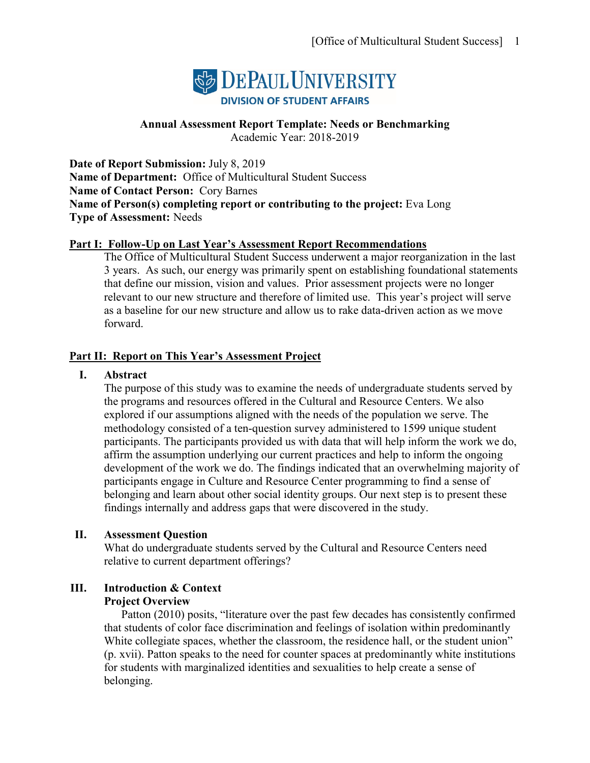

# **Annual Assessment Report Template: Needs or Benchmarking**

Academic Year: 2018-2019

**Date of Report Submission:** July 8, 2019 **Name of Department:** Office of Multicultural Student Success **Name of Contact Person:** Cory Barnes **Name of Person(s) completing report or contributing to the project:** Eva Long **Type of Assessment:** Needs

## **Part I: Follow-Up on Last Year's Assessment Report Recommendations**

The Office of Multicultural Student Success underwent a major reorganization in the last 3 years. As such, our energy was primarily spent on establishing foundational statements that define our mission, vision and values. Prior assessment projects were no longer relevant to our new structure and therefore of limited use. This year's project will serve as a baseline for our new structure and allow us to rake data-driven action as we move forward.

## **Part II: Report on This Year's Assessment Project**

#### **I. Abstract**

The purpose of this study was to examine the needs of undergraduate students served by the programs and resources offered in the Cultural and Resource Centers. We also explored if our assumptions aligned with the needs of the population we serve. The methodology consisted of a ten-question survey administered to 1599 unique student participants. The participants provided us with data that will help inform the work we do, affirm the assumption underlying our current practices and help to inform the ongoing development of the work we do. The findings indicated that an overwhelming majority of participants engage in Culture and Resource Center programming to find a sense of belonging and learn about other social identity groups. Our next step is to present these findings internally and address gaps that were discovered in the study.

## **II. Assessment Question**

What do undergraduate students served by the Cultural and Resource Centers need relative to current department offerings?

# **III. Introduction & Context**

## **Project Overview**

Patton (2010) posits, "literature over the past few decades has consistently confirmed that students of color face discrimination and feelings of isolation within predominantly White collegiate spaces, whether the classroom, the residence hall, or the student union" (p. xvii). Patton speaks to the need for counter spaces at predominantly white institutions for students with marginalized identities and sexualities to help create a sense of belonging.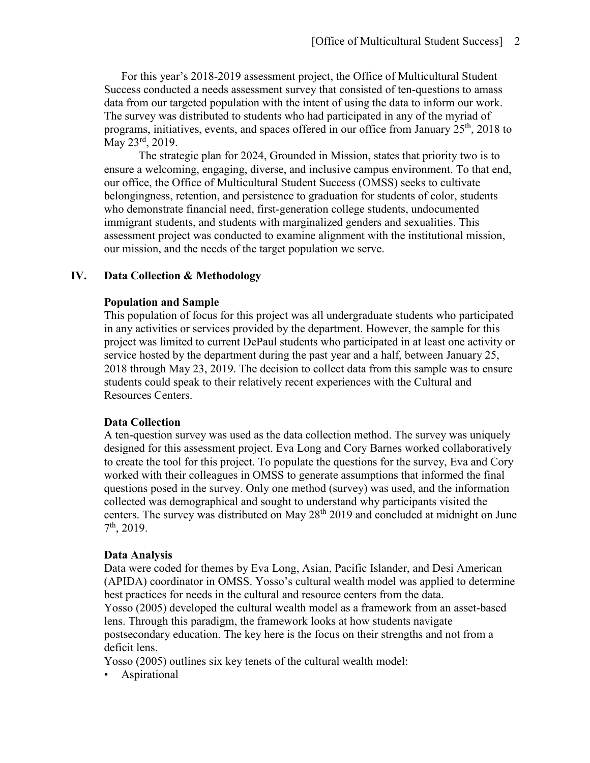For this year's 2018-2019 assessment project, the Office of Multicultural Student Success conducted a needs assessment survey that consisted of ten-questions to amass data from our targeted population with the intent of using the data to inform our work. The survey was distributed to students who had participated in any of the myriad of programs, initiatives, events, and spaces offered in our office from January  $25<sup>th</sup>$ , 2018 to May 23rd, 2019.

The strategic plan for 2024, Grounded in Mission, states that priority two is to ensure a welcoming, engaging, diverse, and inclusive campus environment. To that end, our office, the Office of Multicultural Student Success (OMSS) seeks to cultivate belongingness, retention, and persistence to graduation for students of color, students who demonstrate financial need, first-generation college students, undocumented immigrant students, and students with marginalized genders and sexualities. This assessment project was conducted to examine alignment with the institutional mission, our mission, and the needs of the target population we serve.

# **IV. Data Collection & Methodology**

#### **Population and Sample**

This population of focus for this project was all undergraduate students who participated in any activities or services provided by the department. However, the sample for this project was limited to current DePaul students who participated in at least one activity or service hosted by the department during the past year and a half, between January 25, 2018 through May 23, 2019. The decision to collect data from this sample was to ensure students could speak to their relatively recent experiences with the Cultural and Resources Centers.

#### **Data Collection**

A ten-question survey was used as the data collection method. The survey was uniquely designed for this assessment project. Eva Long and Cory Barnes worked collaboratively to create the tool for this project. To populate the questions for the survey, Eva and Cory worked with their colleagues in OMSS to generate assumptions that informed the final questions posed in the survey. Only one method (survey) was used, and the information collected was demographical and sought to understand why participants visited the centers. The survey was distributed on May  $28<sup>th</sup> 2019$  and concluded at midnight on June 7th, 2019.

#### **Data Analysis**

Data were coded for themes by Eva Long, Asian, Pacific Islander, and Desi American (APIDA) coordinator in OMSS. Yosso's cultural wealth model was applied to determine best practices for needs in the cultural and resource centers from the data. Yosso (2005) developed the cultural wealth model as a framework from an asset-based lens. Through this paradigm, the framework looks at how students navigate postsecondary education. The key here is the focus on their strengths and not from a deficit lens.

Yosso (2005) outlines six key tenets of the cultural wealth model:

• Aspirational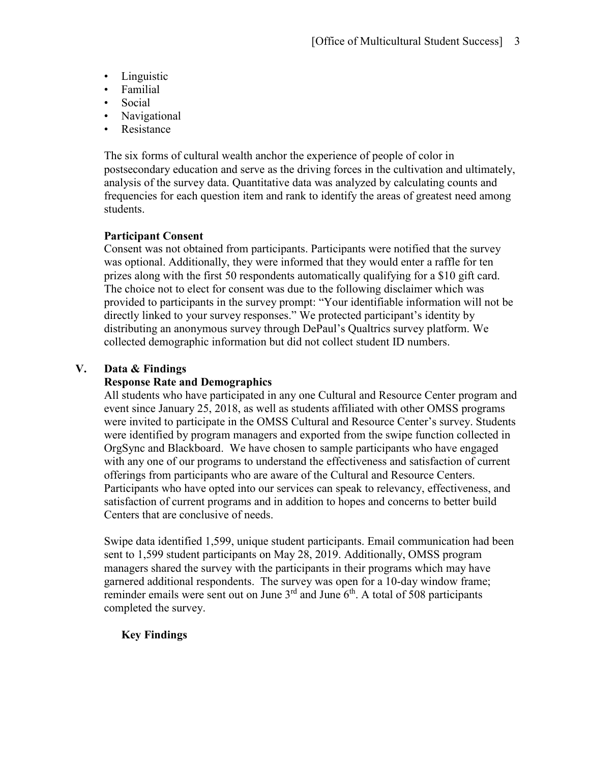- Linguistic
- Familial
- Social
- Navigational
- **Resistance**

The six forms of cultural wealth anchor the experience of people of color in postsecondary education and serve as the driving forces in the cultivation and ultimately, analysis of the survey data. Quantitative data was analyzed by calculating counts and frequencies for each question item and rank to identify the areas of greatest need among students.

# **Participant Consent**

Consent was not obtained from participants. Participants were notified that the survey was optional. Additionally, they were informed that they would enter a raffle for ten prizes along with the first 50 respondents automatically qualifying for a \$10 gift card. The choice not to elect for consent was due to the following disclaimer which was provided to participants in the survey prompt: "Your identifiable information will not be directly linked to your survey responses." We protected participant's identity by distributing an anonymous survey through DePaul's Qualtrics survey platform. We collected demographic information but did not collect student ID numbers.

# **V. Data & Findings**

# **Response Rate and Demographics**

All students who have participated in any one Cultural and Resource Center program and event since January 25, 2018, as well as students affiliated with other OMSS programs were invited to participate in the OMSS Cultural and Resource Center's survey. Students were identified by program managers and exported from the swipe function collected in OrgSync and Blackboard. We have chosen to sample participants who have engaged with any one of our programs to understand the effectiveness and satisfaction of current offerings from participants who are aware of the Cultural and Resource Centers. Participants who have opted into our services can speak to relevancy, effectiveness, and satisfaction of current programs and in addition to hopes and concerns to better build Centers that are conclusive of needs.

Swipe data identified 1,599, unique student participants. Email communication had been sent to 1,599 student participants on May 28, 2019. Additionally, OMSS program managers shared the survey with the participants in their programs which may have garnered additional respondents. The survey was open for a 10-day window frame; reminder emails were sent out on June  $3<sup>rd</sup>$  and June  $6<sup>th</sup>$ . A total of 508 participants completed the survey.

# **Key Findings**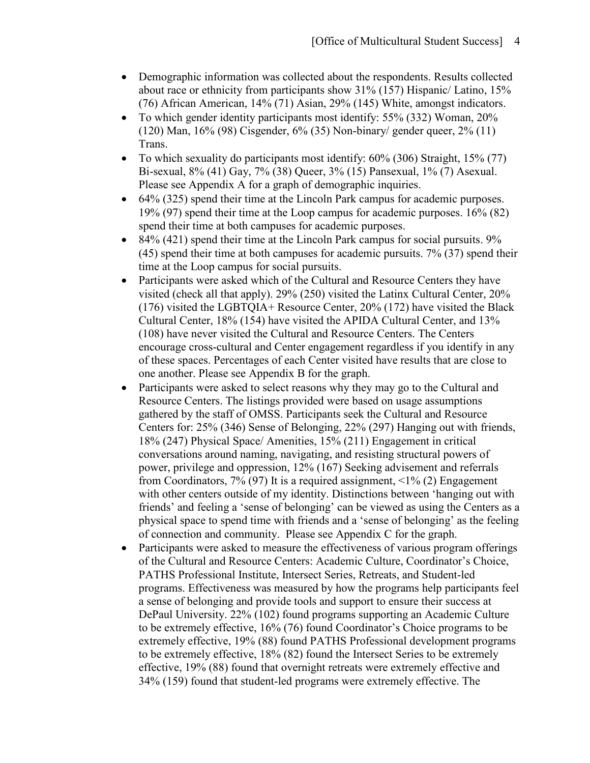- Demographic information was collected about the respondents. Results collected about race or ethnicity from participants show 31% (157) Hispanic/ Latino, 15% (76) African American, 14% (71) Asian, 29% (145) White, amongst indicators.
- To which gender identity participants most identify: 55% (332) Woman, 20% (120) Man, 16% (98) Cisgender, 6% (35) Non-binary/ gender queer, 2% (11) Trans.
- To which sexuality do participants most identify:  $60\%$  (306) Straight, 15% (77) Bi-sexual, 8% (41) Gay, 7% (38) Queer, 3% (15) Pansexual, 1% (7) Asexual. Please see Appendix A for a graph of demographic inquiries.
- 64% (325) spend their time at the Lincoln Park campus for academic purposes. 19% (97) spend their time at the Loop campus for academic purposes. 16% (82) spend their time at both campuses for academic purposes.
- 84% (421) spend their time at the Lincoln Park campus for social pursuits.  $9\%$ (45) spend their time at both campuses for academic pursuits. 7% (37) spend their time at the Loop campus for social pursuits.
- Participants were asked which of the Cultural and Resource Centers they have visited (check all that apply). 29% (250) visited the Latinx Cultural Center, 20% (176) visited the LGBTQIA+ Resource Center, 20% (172) have visited the Black Cultural Center, 18% (154) have visited the APIDA Cultural Center, and 13% (108) have never visited the Cultural and Resource Centers. The Centers encourage cross-cultural and Center engagement regardless if you identify in any of these spaces. Percentages of each Center visited have results that are close to one another. Please see Appendix B for the graph.
- Participants were asked to select reasons why they may go to the Cultural and Resource Centers. The listings provided were based on usage assumptions gathered by the staff of OMSS. Participants seek the Cultural and Resource Centers for: 25% (346) Sense of Belonging, 22% (297) Hanging out with friends, 18% (247) Physical Space/ Amenities, 15% (211) Engagement in critical conversations around naming, navigating, and resisting structural powers of power, privilege and oppression, 12% (167) Seeking advisement and referrals from Coordinators, 7% (97) It is a required assignment, <1% (2) Engagement with other centers outside of my identity. Distinctions between 'hanging out with friends' and feeling a 'sense of belonging' can be viewed as using the Centers as a physical space to spend time with friends and a 'sense of belonging' as the feeling of connection and community.Please see Appendix C for the graph.
- Participants were asked to measure the effectiveness of various program offerings of the Cultural and Resource Centers: Academic Culture, Coordinator's Choice, PATHS Professional Institute, Intersect Series, Retreats, and Student-led programs. Effectiveness was measured by how the programs help participants feel a sense of belonging and provide tools and support to ensure their success at DePaul University. 22% (102) found programs supporting an Academic Culture to be extremely effective, 16% (76) found Coordinator's Choice programs to be extremely effective, 19% (88) found PATHS Professional development programs to be extremely effective, 18% (82) found the Intersect Series to be extremely effective, 19% (88) found that overnight retreats were extremely effective and 34% (159) found that student-led programs were extremely effective. The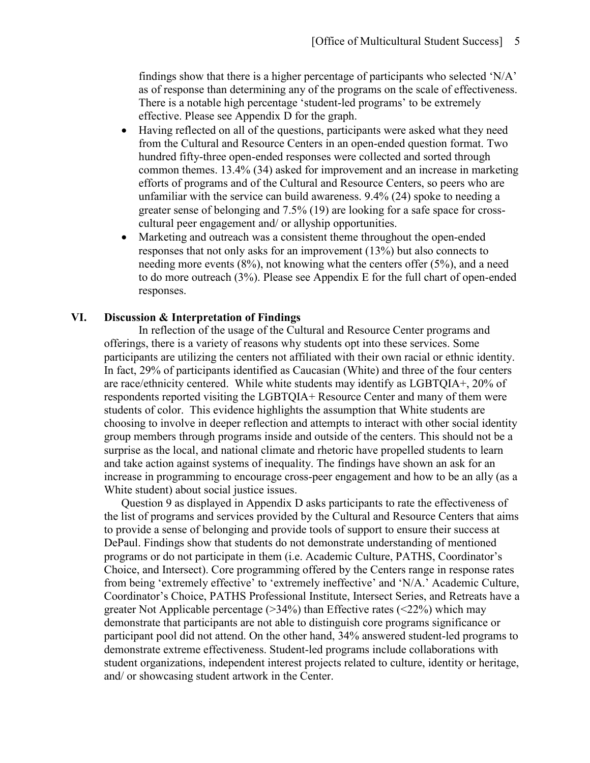findings show that there is a higher percentage of participants who selected  $N/A$ . as of response than determining any of the programs on the scale of effectiveness. There is a notable high percentage 'student-led programs' to be extremely effective. Please see Appendix D for the graph.

- Having reflected on all of the questions, participants were asked what they need from the Cultural and Resource Centers in an open-ended question format. Two hundred fifty-three open-ended responses were collected and sorted through common themes. 13.4% (34) asked for improvement and an increase in marketing efforts of programs and of the Cultural and Resource Centers, so peers who are unfamiliar with the service can build awareness. 9.4% (24) spoke to needing a greater sense of belonging and 7.5% (19) are looking for a safe space for crosscultural peer engagement and/ or allyship opportunities.
- Marketing and outreach was a consistent theme throughout the open-ended responses that not only asks for an improvement (13%) but also connects to needing more events (8%), not knowing what the centers offer (5%), and a need to do more outreach (3%). Please see Appendix E for the full chart of open-ended responses.

#### **VI. Discussion & Interpretation of Findings**

In reflection of the usage of the Cultural and Resource Center programs and offerings, there is a variety of reasons why students opt into these services. Some participants are utilizing the centers not affiliated with their own racial or ethnic identity. In fact, 29% of participants identified as Caucasian (White) and three of the four centers are race/ethnicity centered. While white students may identify as LGBTQIA+, 20% of respondents reported visiting the LGBTQIA+ Resource Center and many of them were students of color. This evidence highlights the assumption that White students are choosing to involve in deeper reflection and attempts to interact with other social identity group members through programs inside and outside of the centers. This should not be a surprise as the local, and national climate and rhetoric have propelled students to learn and take action against systems of inequality. The findings have shown an ask for an increase in programming to encourage cross-peer engagement and how to be an ally (as a White student) about social justice issues.

Question 9 as displayed in Appendix D asks participants to rate the effectiveness of the list of programs and services provided by the Cultural and Resource Centers that aims to provide a sense of belonging and provide tools of support to ensure their success at DePaul. Findings show that students do not demonstrate understanding of mentioned programs or do not participate in them (i.e. Academic Culture, PATHS, Coordinator's Choice, and Intersect). Core programming offered by the Centers range in response rates from being 'extremely effective' to 'extremely ineffective' and 'N/A.' Academic Culture, Coordinator's Choice, PATHS Professional Institute, Intersect Series, and Retreats have a greater Not Applicable percentage  $(>34\%)$  than Effective rates  $(<22\%)$  which may demonstrate that participants are not able to distinguish core programs significance or participant pool did not attend. On the other hand, 34% answered student-led programs to demonstrate extreme effectiveness. Student-led programs include collaborations with student organizations, independent interest projects related to culture, identity or heritage, and/ or showcasing student artwork in the Center.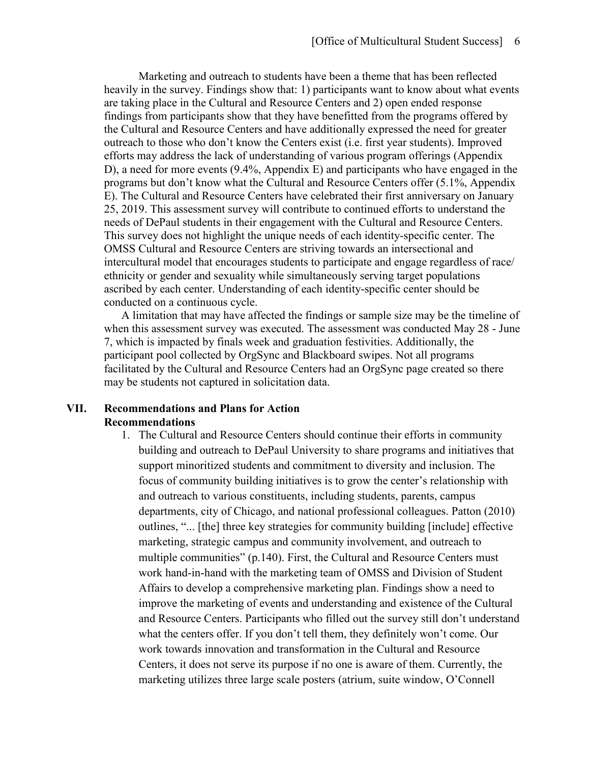Marketing and outreach to students have been a theme that has been reflected heavily in the survey. Findings show that: 1) participants want to know about what events are taking place in the Cultural and Resource Centers and 2) open ended response findings from participants show that they have benefitted from the programs offered by the Cultural and Resource Centers and have additionally expressed the need for greater outreach to those who don't know the Centers exist (i.e. first year students). Improved efforts may address the lack of understanding of various program offerings (Appendix D), a need for more events (9.4%, Appendix E) and participants who have engaged in the programs but don't know what the Cultural and Resource Centers offer (5.1%, Appendix E). The Cultural and Resource Centers have celebrated their first anniversary on January 25, 2019. This assessment survey will contribute to continued efforts to understand the needs of DePaul students in their engagement with the Cultural and Resource Centers. This survey does not highlight the unique needs of each identity-specific center. The OMSS Cultural and Resource Centers are striving towards an intersectional and intercultural model that encourages students to participate and engage regardless of race/ ethnicity or gender and sexuality while simultaneously serving target populations ascribed by each center. Understanding of each identity-specific center should be conducted on a continuous cycle.

A limitation that may have affected the findings or sample size may be the timeline of when this assessment survey was executed. The assessment was conducted May 28 - June 7, which is impacted by finals week and graduation festivities. Additionally, the participant pool collected by OrgSync and Blackboard swipes. Not all programs facilitated by the Cultural and Resource Centers had an OrgSync page created so there may be students not captured in solicitation data.

# **VII. Recommendations and Plans for Action Recommendations**

1. The Cultural and Resource Centers should continue their efforts in community building and outreach to DePaul University to share programs and initiatives that support minoritized students and commitment to diversity and inclusion. The focus of community building initiatives is to grow the center's relationship with and outreach to various constituents, including students, parents, campus departments, city of Chicago, and national professional colleagues. Patton (2010) outlines, "... [the] three key strategies for community building [include] effective marketing, strategic campus and community involvement, and outreach to multiple communities" (p.140). First, the Cultural and Resource Centers must work hand-in-hand with the marketing team of OMSS and Division of Student Affairs to develop a comprehensive marketing plan. Findings show a need to improve the marketing of events and understanding and existence of the Cultural and Resource Centers. Participants who filled out the survey still don't understand what the centers offer. If you don't tell them, they definitely won't come. Our work towards innovation and transformation in the Cultural and Resource Centers, it does not serve its purpose if no one is aware of them. Currently, the marketing utilizes three large scale posters (atrium, suite window, O'Connell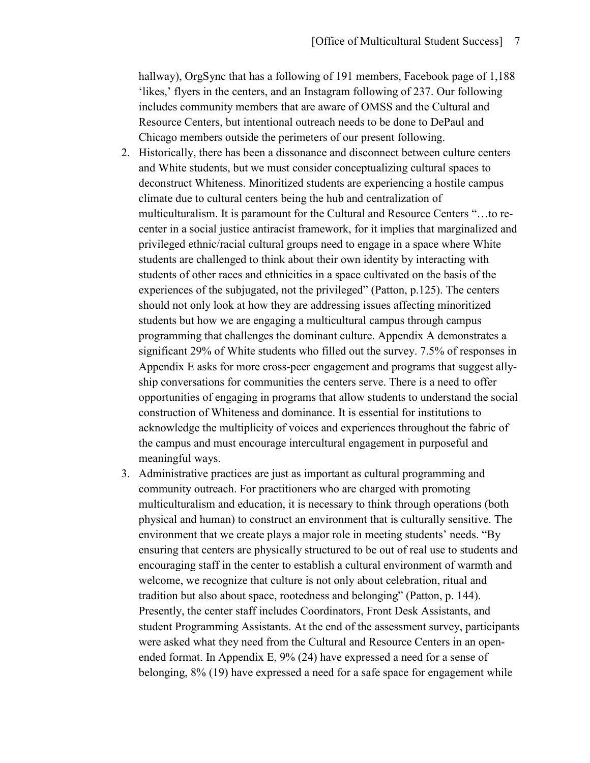hallway), OrgSync that has a following of 191 members, Facebook page of 1,188 'likes,' flyers in the centers, and an Instagram following of 237. Our following includes community members that are aware of OMSS and the Cultural and Resource Centers, but intentional outreach needs to be done to DePaul and Chicago members outside the perimeters of our present following.

- 2. Historically, there has been a dissonance and disconnect between culture centers and White students, but we must consider conceptualizing cultural spaces to deconstruct Whiteness. Minoritized students are experiencing a hostile campus climate due to cultural centers being the hub and centralization of multiculturalism. It is paramount for the Cultural and Resource Centers "…to recenter in a social justice antiracist framework, for it implies that marginalized and privileged ethnic/racial cultural groups need to engage in a space where White students are challenged to think about their own identity by interacting with students of other races and ethnicities in a space cultivated on the basis of the experiences of the subjugated, not the privileged" (Patton, p.125). The centers should not only look at how they are addressing issues affecting minoritized students but how we are engaging a multicultural campus through campus programming that challenges the dominant culture. Appendix A demonstrates a significant 29% of White students who filled out the survey. 7.5% of responses in Appendix E asks for more cross-peer engagement and programs that suggest allyship conversations for communities the centers serve. There is a need to offer opportunities of engaging in programs that allow students to understand the social construction of Whiteness and dominance. It is essential for institutions to acknowledge the multiplicity of voices and experiences throughout the fabric of the campus and must encourage intercultural engagement in purposeful and meaningful ways.
- 3. Administrative practices are just as important as cultural programming and community outreach. For practitioners who are charged with promoting multiculturalism and education, it is necessary to think through operations (both physical and human) to construct an environment that is culturally sensitive. The environment that we create plays a major role in meeting students' needs. "By ensuring that centers are physically structured to be out of real use to students and encouraging staff in the center to establish a cultural environment of warmth and welcome, we recognize that culture is not only about celebration, ritual and tradition but also about space, rootedness and belonging" (Patton, p. 144). Presently, the center staff includes Coordinators, Front Desk Assistants, and student Programming Assistants. At the end of the assessment survey, participants were asked what they need from the Cultural and Resource Centers in an openended format. In Appendix E, 9% (24) have expressed a need for a sense of belonging, 8% (19) have expressed a need for a safe space for engagement while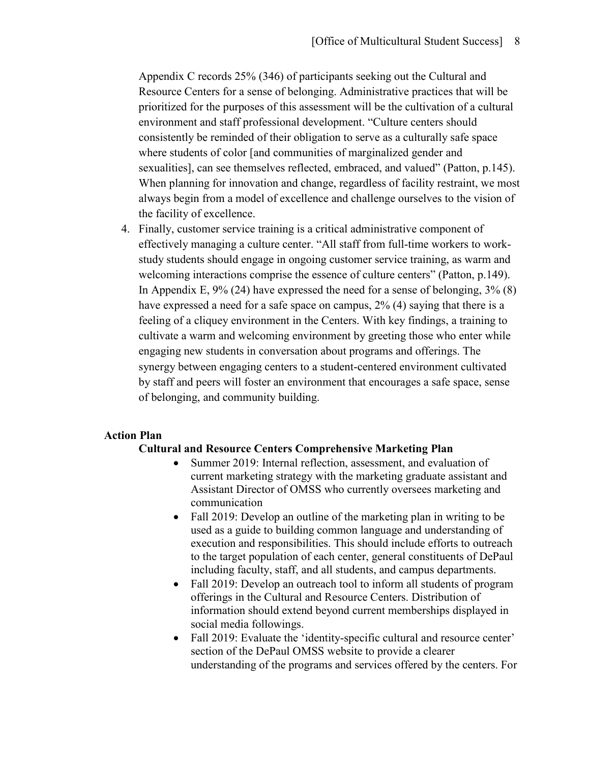Appendix C records 25% (346) of participants seeking out the Cultural and Resource Centers for a sense of belonging. Administrative practices that will be prioritized for the purposes of this assessment will be the cultivation of a cultural environment and staff professional development. "Culture centers should consistently be reminded of their obligation to serve as a culturally safe space where students of color [and communities of marginalized gender and sexualities], can see themselves reflected, embraced, and valued" (Patton, p.145). When planning for innovation and change, regardless of facility restraint, we most always begin from a model of excellence and challenge ourselves to the vision of the facility of excellence.

4. Finally, customer service training is a critical administrative component of effectively managing a culture center. "All staff from full-time workers to workstudy students should engage in ongoing customer service training, as warm and welcoming interactions comprise the essence of culture centers" (Patton, p.149). In Appendix E, 9% (24) have expressed the need for a sense of belonging, 3% (8) have expressed a need for a safe space on campus, 2% (4) saying that there is a feeling of a cliquey environment in the Centers. With key findings, a training to cultivate a warm and welcoming environment by greeting those who enter while engaging new students in conversation about programs and offerings. The synergy between engaging centers to a student-centered environment cultivated by staff and peers will foster an environment that encourages a safe space, sense of belonging, and community building.

#### **Action Plan**

#### **Cultural and Resource Centers Comprehensive Marketing Plan**

- Summer 2019: Internal reflection, assessment, and evaluation of current marketing strategy with the marketing graduate assistant and Assistant Director of OMSS who currently oversees marketing and communication
- Fall 2019: Develop an outline of the marketing plan in writing to be used as a guide to building common language and understanding of execution and responsibilities. This should include efforts to outreach to the target population of each center, general constituents of DePaul including faculty, staff, and all students, and campus departments.
- Fall 2019: Develop an outreach tool to inform all students of program offerings in the Cultural and Resource Centers. Distribution of information should extend beyond current memberships displayed in social media followings.
- Fall 2019: Evaluate the 'identity-specific cultural and resource center' section of the DePaul OMSS website to provide a clearer understanding of the programs and services offered by the centers. For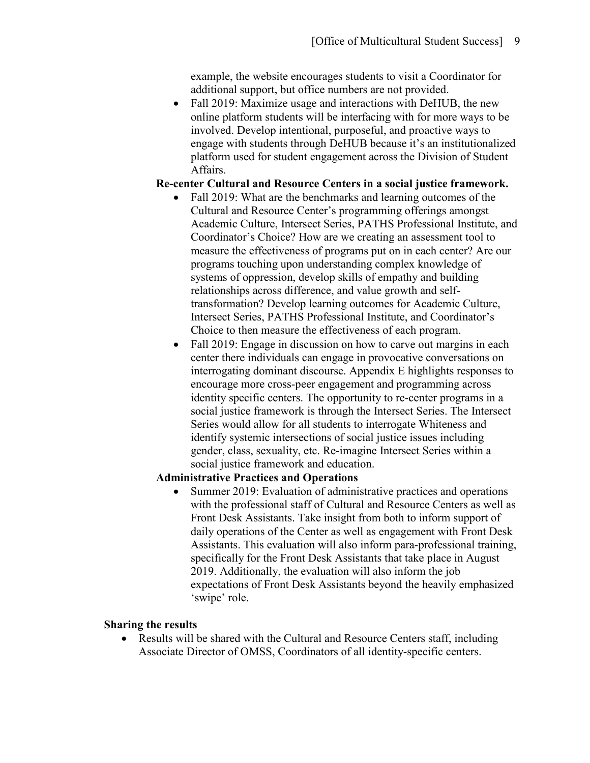example, the website encourages students to visit a Coordinator for additional support, but office numbers are not provided.

• Fall 2019: Maximize usage and interactions with DeHUB, the new online platform students will be interfacing with for more ways to be involved. Develop intentional, purposeful, and proactive ways to engage with students through DeHUB because it's an institutionalized platform used for student engagement across the Division of Student Affairs.

# **Re-center Cultural and Resource Centers in a social justice framework.**

- Fall 2019: What are the benchmarks and learning outcomes of the Cultural and Resource Center's programming offerings amongst Academic Culture, Intersect Series, PATHS Professional Institute, and Coordinator's Choice? How are we creating an assessment tool to measure the effectiveness of programs put on in each center? Are our programs touching upon understanding complex knowledge of systems of oppression, develop skills of empathy and building relationships across difference, and value growth and selftransformation? Develop learning outcomes for Academic Culture, Intersect Series, PATHS Professional Institute, and Coordinator's Choice to then measure the effectiveness of each program.
- Fall 2019: Engage in discussion on how to carve out margins in each center there individuals can engage in provocative conversations on interrogating dominant discourse. Appendix E highlights responses to encourage more cross-peer engagement and programming across identity specific centers. The opportunity to re-center programs in a social justice framework is through the Intersect Series. The Intersect Series would allow for all students to interrogate Whiteness and identify systemic intersections of social justice issues including gender, class, sexuality, etc. Re-imagine Intersect Series within a social justice framework and education.

## **Administrative Practices and Operations**

• Summer 2019: Evaluation of administrative practices and operations with the professional staff of Cultural and Resource Centers as well as Front Desk Assistants. Take insight from both to inform support of daily operations of the Center as well as engagement with Front Desk Assistants. This evaluation will also inform para-professional training, specifically for the Front Desk Assistants that take place in August 2019. Additionally, the evaluation will also inform the job expectations of Front Desk Assistants beyond the heavily emphasized 'swipe' role.

## **Sharing the results**

• Results will be shared with the Cultural and Resource Centers staff, including Associate Director of OMSS, Coordinators of all identity-specific centers.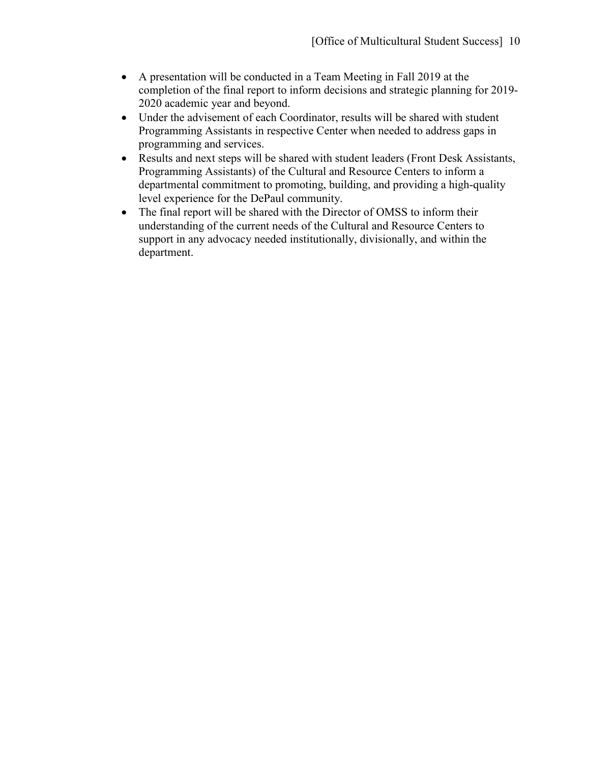- A presentation will be conducted in a Team Meeting in Fall 2019 at the completion of the final report to inform decisions and strategic planning for 2019- 2020 academic year and beyond.
- Under the advisement of each Coordinator, results will be shared with student Programming Assistants in respective Center when needed to address gaps in programming and services.
- Results and next steps will be shared with student leaders (Front Desk Assistants, Programming Assistants) of the Cultural and Resource Centers to inform a departmental commitment to promoting, building, and providing a high-quality level experience for the DePaul community.
- The final report will be shared with the Director of OMSS to inform their understanding of the current needs of the Cultural and Resource Centers to support in any advocacy needed institutionally, divisionally, and within the department.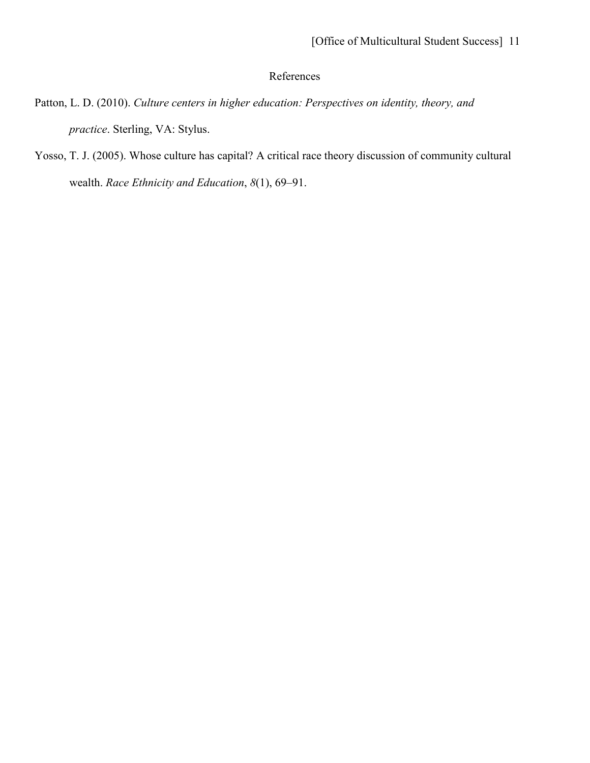# References

- Patton, L. D. (2010). *Culture centers in higher education: Perspectives on identity, theory, and practice*. Sterling, VA: Stylus.
- Yosso, T. J. (2005). Whose culture has capital? A critical race theory discussion of community cultural wealth. *Race Ethnicity and Education*, *8*(1), 69–91.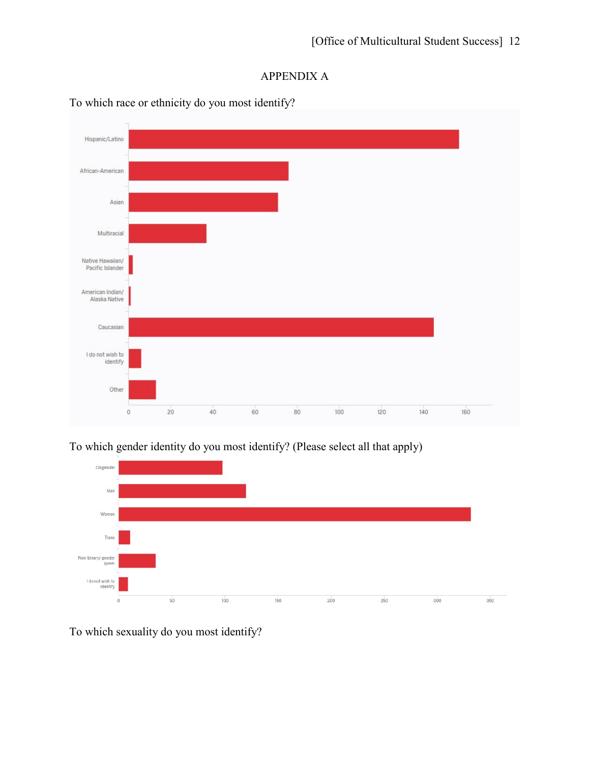# APPENDIX A



To which race or ethnicity do you most identify?

To which gender identity do you most identify? (Please select all that apply)



To which sexuality do you most identify?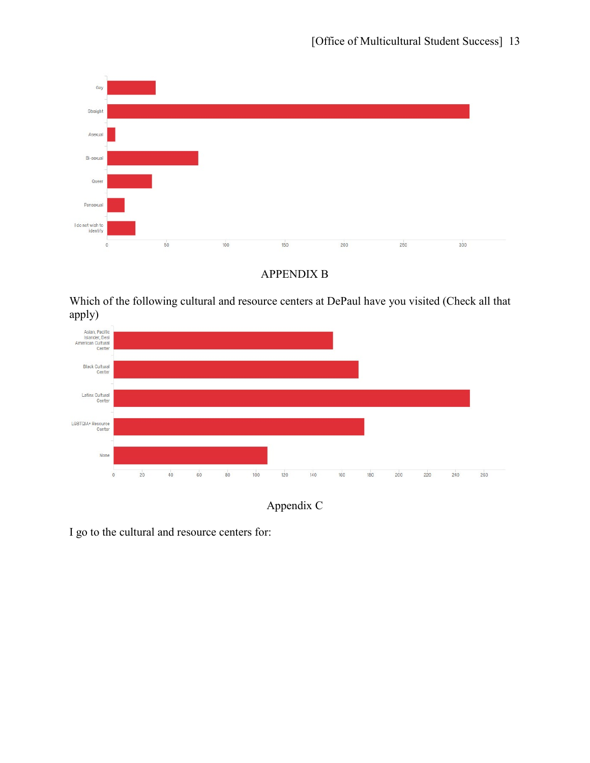



Which of the following cultural and resource centers at DePaul have you visited (Check all that apply)





I go to the cultural and resource centers for: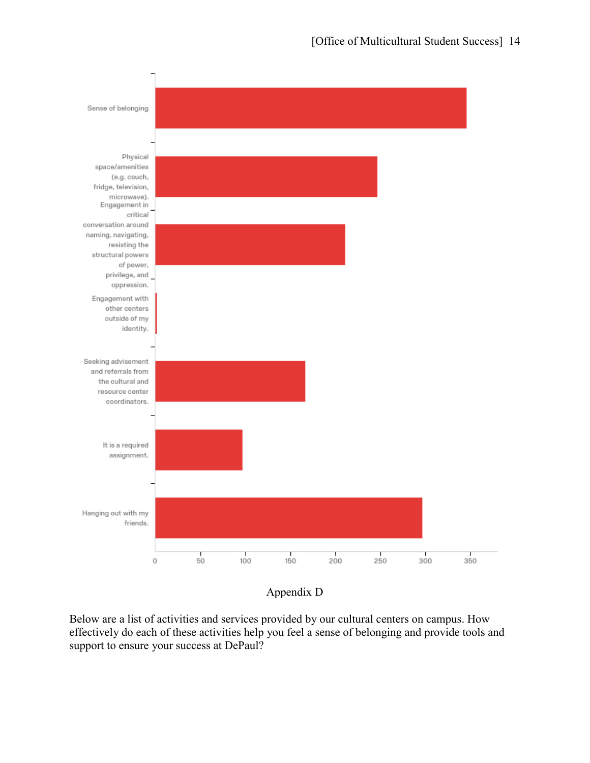

## Appendix D

Below are a list of activities and services provided by our cultural centers on campus. How effectively do each of these activities help you feel a sense of belonging and provide tools and support to ensure your success at DePaul?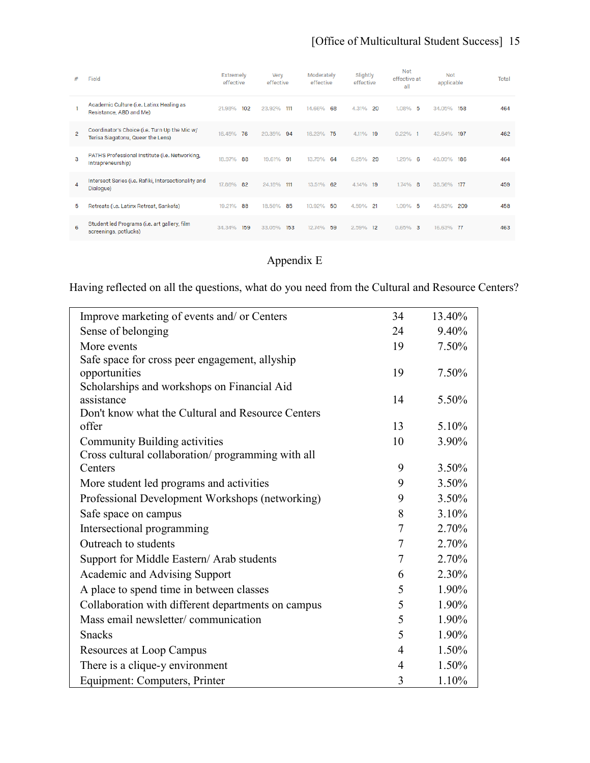| #              | Field                                                                              | Extremely<br>effective | Verv<br>effective | Moderately<br>effective | Slightly<br>effective | Not<br>effective at<br>all | Not<br>applicable | Total |
|----------------|------------------------------------------------------------------------------------|------------------------|-------------------|-------------------------|-----------------------|----------------------------|-------------------|-------|
|                | Academic Culture (i.e. Latinx Healing as<br>Resistance, ABD and Me)                | 21.98%<br>102          | 23.92%<br>111     | 14.66%<br>68            | 4.31%<br>20           | $1.08\%$ 5                 | 34.05%<br>158     | 464   |
| $\overline{2}$ | Coordinator's Choice (i.e. Turn Up the Mic w/<br>Terisa Siagatonu, Queer the Lens) | 16.45%<br>76           | 20.35%<br>94      | 16.23%<br>75            | 4.11%<br>19           | 0.22%<br>-1                | 42.64%<br>197     | 462   |
| з              | PATHS Professional Institute (i.e. Networking,<br>Intrapreneurship)                | 88<br>18.97%           | 91<br>19.61%      | 13.79%<br>64            | 29<br>6.25%           | 1.29%<br>- 6               | 40.09%<br>186     | 464   |
| 4              | Intersect Series (i.e. Rafiki, Intersectionality and<br>Dialogue)                  | 82<br>17.86%           | $-111$<br>24.18%  | 13.51%<br>62            | 4.14%<br>19           | $1.74\%$ 8                 | 38.56% 177        | 459   |
| 5              | Retreats (i.e. Latinx Retreat, Sankofa)                                            | 19.21%<br>88           | 85<br>18.56%      | 50<br>10.92%            | 21<br>4.59%           | -5<br>1.09%                | 209<br>45.63%     | 458   |
| 6              | Student led Programs (i.e. art gallery, film<br>screenings, potlucks)              | 159<br>34.34%          | 153<br>33.05%     | 59<br>12.74%            | 12<br>2.59%           | $0.65\%$ 3                 | 16.63% 77         | 463   |

# Appendix E

Having reflected on all the questions, what do you need from the Cultural and Resource Centers?

| Improve marketing of events and/ or Centers                  | 34             | 13.40% |
|--------------------------------------------------------------|----------------|--------|
| Sense of belonging                                           | 24             | 9.40%  |
| More events                                                  | 19             | 7.50%  |
| Safe space for cross peer engagement, allyship               |                |        |
| opportunities                                                | 19             | 7.50%  |
| Scholarships and workshops on Financial Aid                  |                |        |
| assistance                                                   | 14             | 5.50%  |
| Don't know what the Cultural and Resource Centers            |                |        |
| offer                                                        | 13             | 5.10%  |
| Community Building activities                                | 10             | 3.90%  |
| Cross cultural collaboration/programming with all<br>Centers | 9              | 3.50%  |
|                                                              |                |        |
| More student led programs and activities                     | 9              | 3.50%  |
| Professional Development Workshops (networking)              | 9              | 3.50%  |
| Safe space on campus                                         | 8              | 3.10%  |
| Intersectional programming                                   | 7              | 2.70%  |
| Outreach to students                                         | $\tau$         | 2.70%  |
| Support for Middle Eastern/ Arab students                    | $\tau$         | 2.70%  |
| Academic and Advising Support                                | 6              | 2.30%  |
| A place to spend time in between classes                     | 5              | 1.90%  |
| Collaboration with different departments on campus           | 5              | 1.90%  |
| Mass email newsletter/communication                          | 5              | 1.90%  |
| <b>Snacks</b>                                                | 5              | 1.90%  |
| Resources at Loop Campus                                     | $\overline{4}$ | 1.50%  |
| There is a clique-y environment                              | $\overline{4}$ | 1.50%  |
| Equipment: Computers, Printer                                | 3              | 1.10%  |